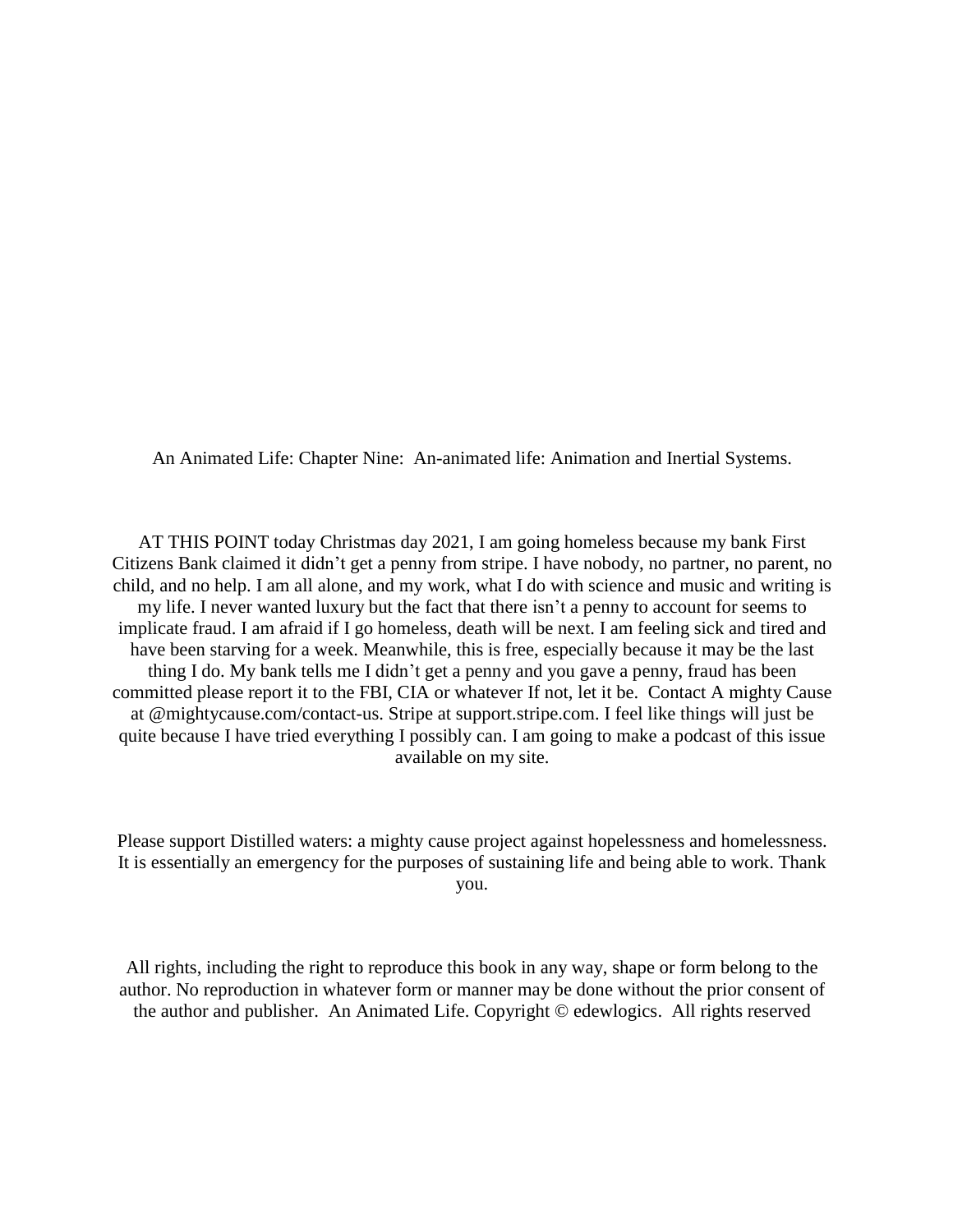An Animated Life: Chapter Nine: An-animated life: Animation and Inertial Systems.

AT THIS POINT today Christmas day 2021, I am going homeless because my bank First Citizens Bank claimed it didn't get a penny from stripe. I have nobody, no partner, no parent, no child, and no help. I am all alone, and my work, what I do with science and music and writing is my life. I never wanted luxury but the fact that there isn't a penny to account for seems to implicate fraud. I am afraid if I go homeless, death will be next. I am feeling sick and tired and have been starving for a week. Meanwhile, this is free, especially because it may be the last thing I do. My bank tells me I didn't get a penny and you gave a penny, fraud has been committed please report it to the FBI, CIA or whatever If not, let it be. Contact A mighty Cause at @mightycause.com/contact-us. Stripe at support.stripe.com. I feel like things will just be quite because I have tried everything I possibly can. I am going to make a podcast of this issue available on my site.

Please support Distilled waters: a mighty cause project against hopelessness and homelessness. It is essentially an emergency for the purposes of sustaining life and being able to work. Thank you.

All rights, including the right to reproduce this book in any way, shape or form belong to the author. No reproduction in whatever form or manner may be done without the prior consent of the author and publisher. An Animated Life. Copyright © edewlogics. All rights reserved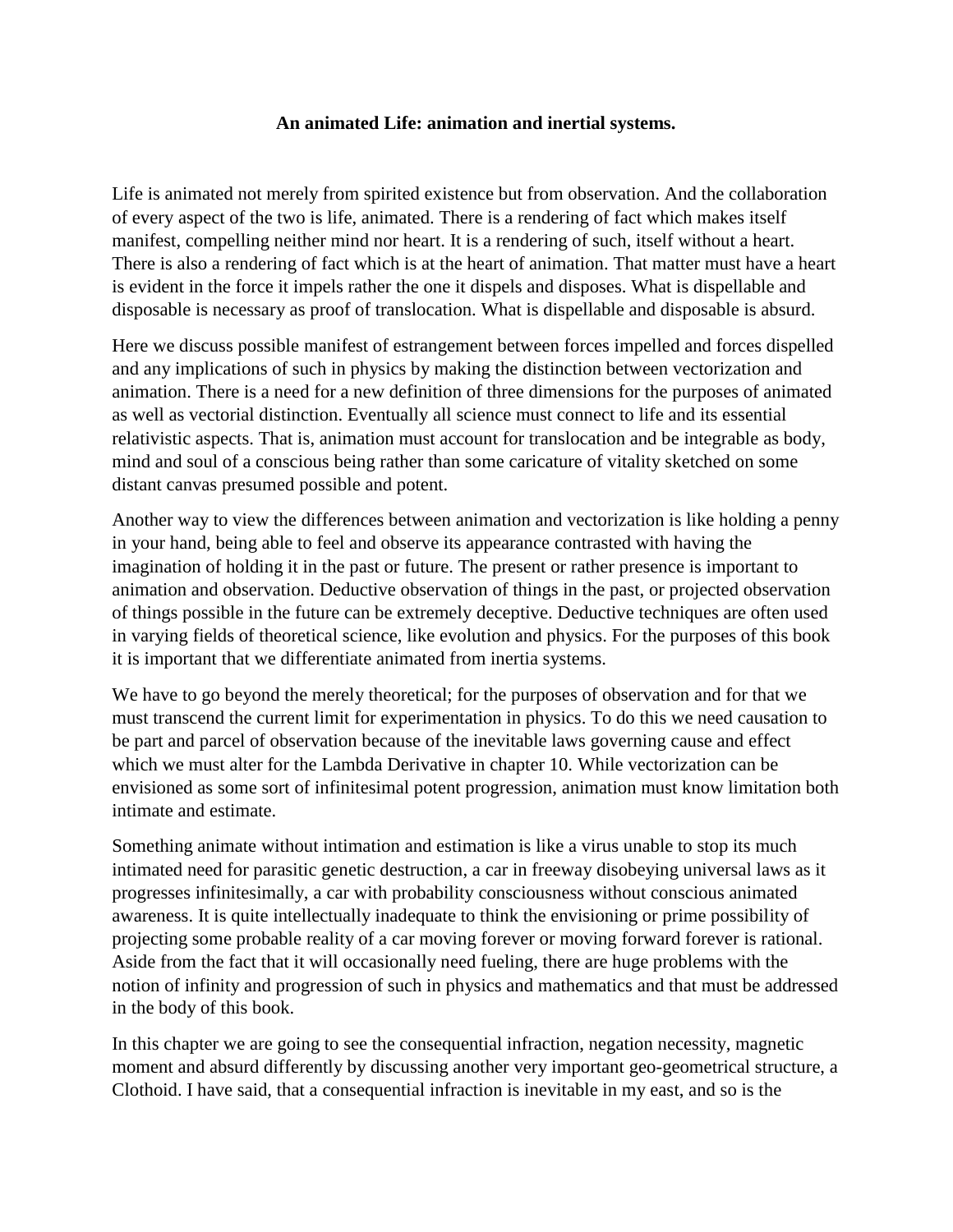## **An animated Life: animation and inertial systems.**

Life is animated not merely from spirited existence but from observation. And the collaboration of every aspect of the two is life, animated. There is a rendering of fact which makes itself manifest, compelling neither mind nor heart. It is a rendering of such, itself without a heart. There is also a rendering of fact which is at the heart of animation. That matter must have a heart is evident in the force it impels rather the one it dispels and disposes. What is dispellable and disposable is necessary as proof of translocation. What is dispellable and disposable is absurd.

Here we discuss possible manifest of estrangement between forces impelled and forces dispelled and any implications of such in physics by making the distinction between vectorization and animation. There is a need for a new definition of three dimensions for the purposes of animated as well as vectorial distinction. Eventually all science must connect to life and its essential relativistic aspects. That is, animation must account for translocation and be integrable as body, mind and soul of a conscious being rather than some caricature of vitality sketched on some distant canvas presumed possible and potent.

Another way to view the differences between animation and vectorization is like holding a penny in your hand, being able to feel and observe its appearance contrasted with having the imagination of holding it in the past or future. The present or rather presence is important to animation and observation. Deductive observation of things in the past, or projected observation of things possible in the future can be extremely deceptive. Deductive techniques are often used in varying fields of theoretical science, like evolution and physics. For the purposes of this book it is important that we differentiate animated from inertia systems.

We have to go beyond the merely theoretical; for the purposes of observation and for that we must transcend the current limit for experimentation in physics. To do this we need causation to be part and parcel of observation because of the inevitable laws governing cause and effect which we must alter for the Lambda Derivative in chapter 10. While vectorization can be envisioned as some sort of infinitesimal potent progression, animation must know limitation both intimate and estimate.

Something animate without intimation and estimation is like a virus unable to stop its much intimated need for parasitic genetic destruction, a car in freeway disobeying universal laws as it progresses infinitesimally, a car with probability consciousness without conscious animated awareness. It is quite intellectually inadequate to think the envisioning or prime possibility of projecting some probable reality of a car moving forever or moving forward forever is rational. Aside from the fact that it will occasionally need fueling, there are huge problems with the notion of infinity and progression of such in physics and mathematics and that must be addressed in the body of this book.

In this chapter we are going to see the consequential infraction, negation necessity, magnetic moment and absurd differently by discussing another very important geo-geometrical structure, a Clothoid. I have said, that a consequential infraction is inevitable in my east, and so is the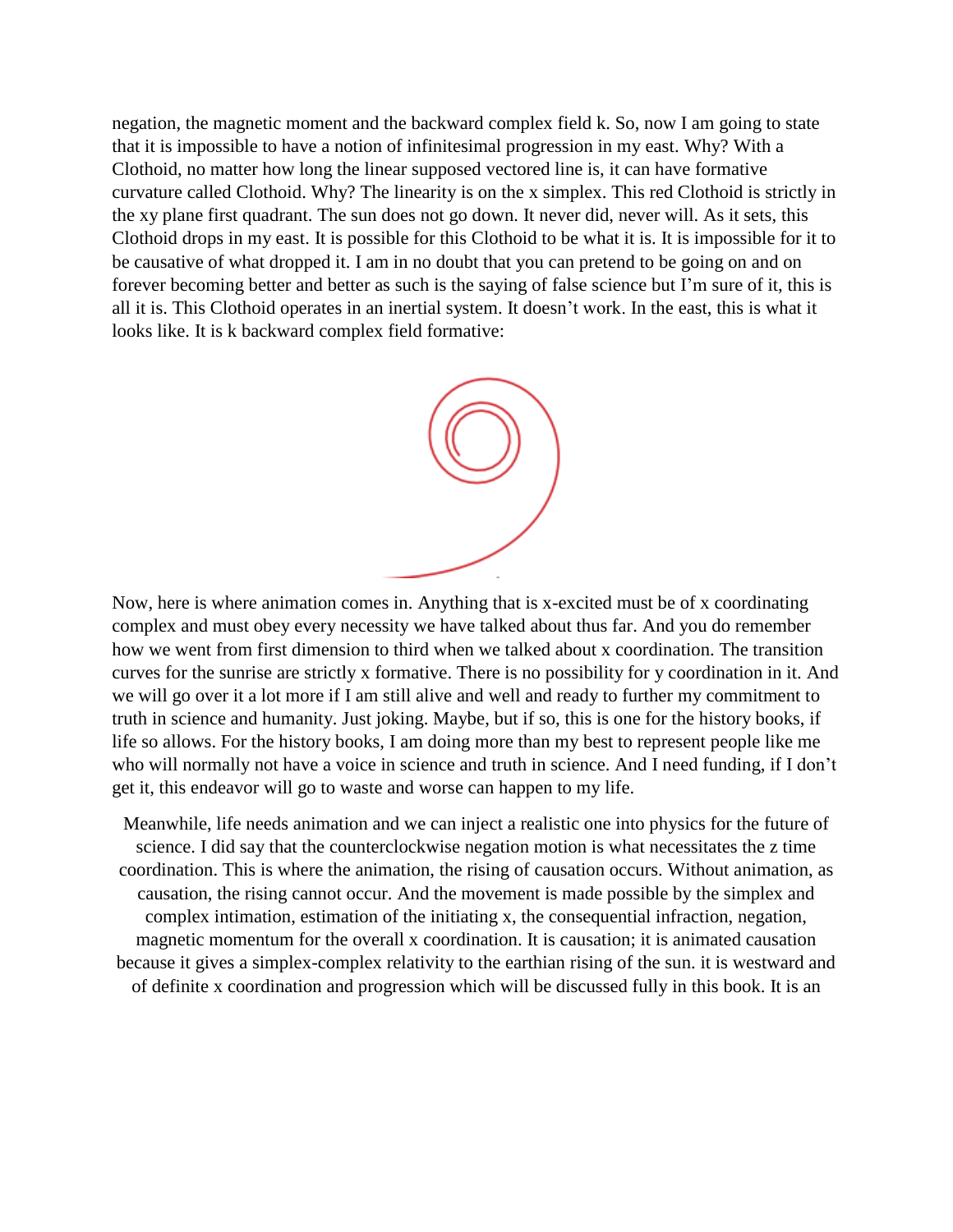negation, the magnetic moment and the backward complex field k. So, now I am going to state that it is impossible to have a notion of infinitesimal progression in my east. Why? With a Clothoid, no matter how long the linear supposed vectored line is, it can have formative curvature called Clothoid. Why? The linearity is on the x simplex. This red Clothoid is strictly in the xy plane first quadrant. The sun does not go down. It never did, never will. As it sets, this Clothoid drops in my east. It is possible for this Clothoid to be what it is. It is impossible for it to be causative of what dropped it. I am in no doubt that you can pretend to be going on and on forever becoming better and better as such is the saying of false science but I'm sure of it, this is all it is. This Clothoid operates in an inertial system. It doesn't work. In the east, this is what it looks like. It is k backward complex field formative:



Now, here is where animation comes in. Anything that is x-excited must be of x coordinating complex and must obey every necessity we have talked about thus far. And you do remember how we went from first dimension to third when we talked about x coordination. The transition curves for the sunrise are strictly x formative. There is no possibility for y coordination in it. And we will go over it a lot more if I am still alive and well and ready to further my commitment to truth in science and humanity. Just joking. Maybe, but if so, this is one for the history books, if life so allows. For the history books, I am doing more than my best to represent people like me who will normally not have a voice in science and truth in science. And I need funding, if I don't get it, this endeavor will go to waste and worse can happen to my life.

Meanwhile, life needs animation and we can inject a realistic one into physics for the future of science. I did say that the counterclockwise negation motion is what necessitates the z time coordination. This is where the animation, the rising of causation occurs. Without animation, as causation, the rising cannot occur. And the movement is made possible by the simplex and complex intimation, estimation of the initiating x, the consequential infraction, negation, magnetic momentum for the overall x coordination. It is causation; it is animated causation because it gives a simplex-complex relativity to the earthian rising of the sun. it is westward and of definite x coordination and progression which will be discussed fully in this book. It is an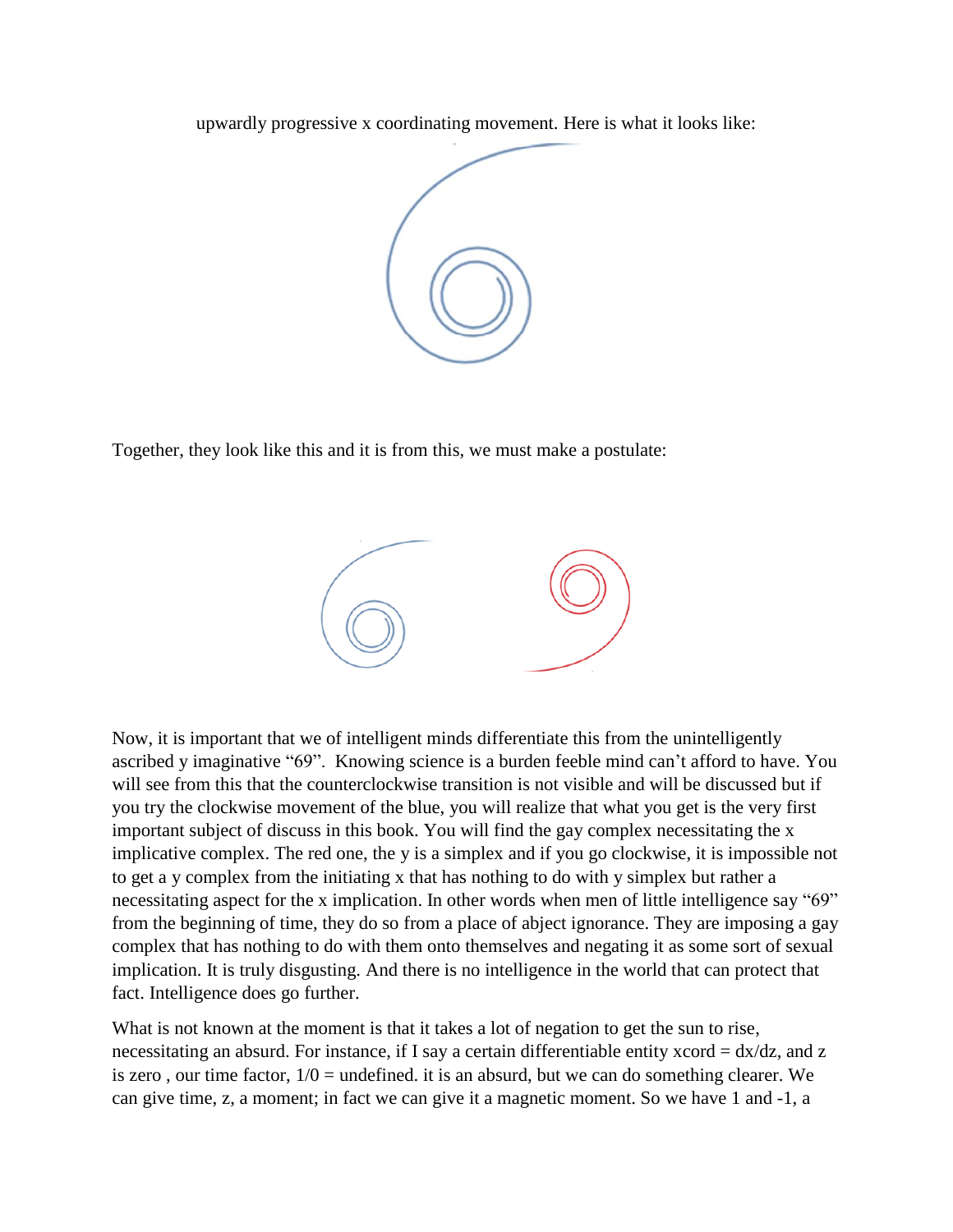upwardly progressive x coordinating movement. Here is what it looks like:



Together, they look like this and it is from this, we must make a postulate:



Now, it is important that we of intelligent minds differentiate this from the unintelligently ascribed y imaginative "69". Knowing science is a burden feeble mind can't afford to have. You will see from this that the counterclockwise transition is not visible and will be discussed but if you try the clockwise movement of the blue, you will realize that what you get is the very first important subject of discuss in this book. You will find the gay complex necessitating the x implicative complex. The red one, the y is a simplex and if you go clockwise, it is impossible not to get a y complex from the initiating x that has nothing to do with y simplex but rather a necessitating aspect for the x implication. In other words when men of little intelligence say "69" from the beginning of time, they do so from a place of abject ignorance. They are imposing a gay complex that has nothing to do with them onto themselves and negating it as some sort of sexual implication. It is truly disgusting. And there is no intelligence in the world that can protect that fact. Intelligence does go further.

What is not known at the moment is that it takes a lot of negation to get the sun to rise, necessitating an absurd. For instance, if I say a certain differentiable entity xcord = dx/dz, and z is zero, our time factor,  $1/0 =$  undefined. it is an absurd, but we can do something clearer. We can give time, z, a moment; in fact we can give it a magnetic moment. So we have 1 and -1, a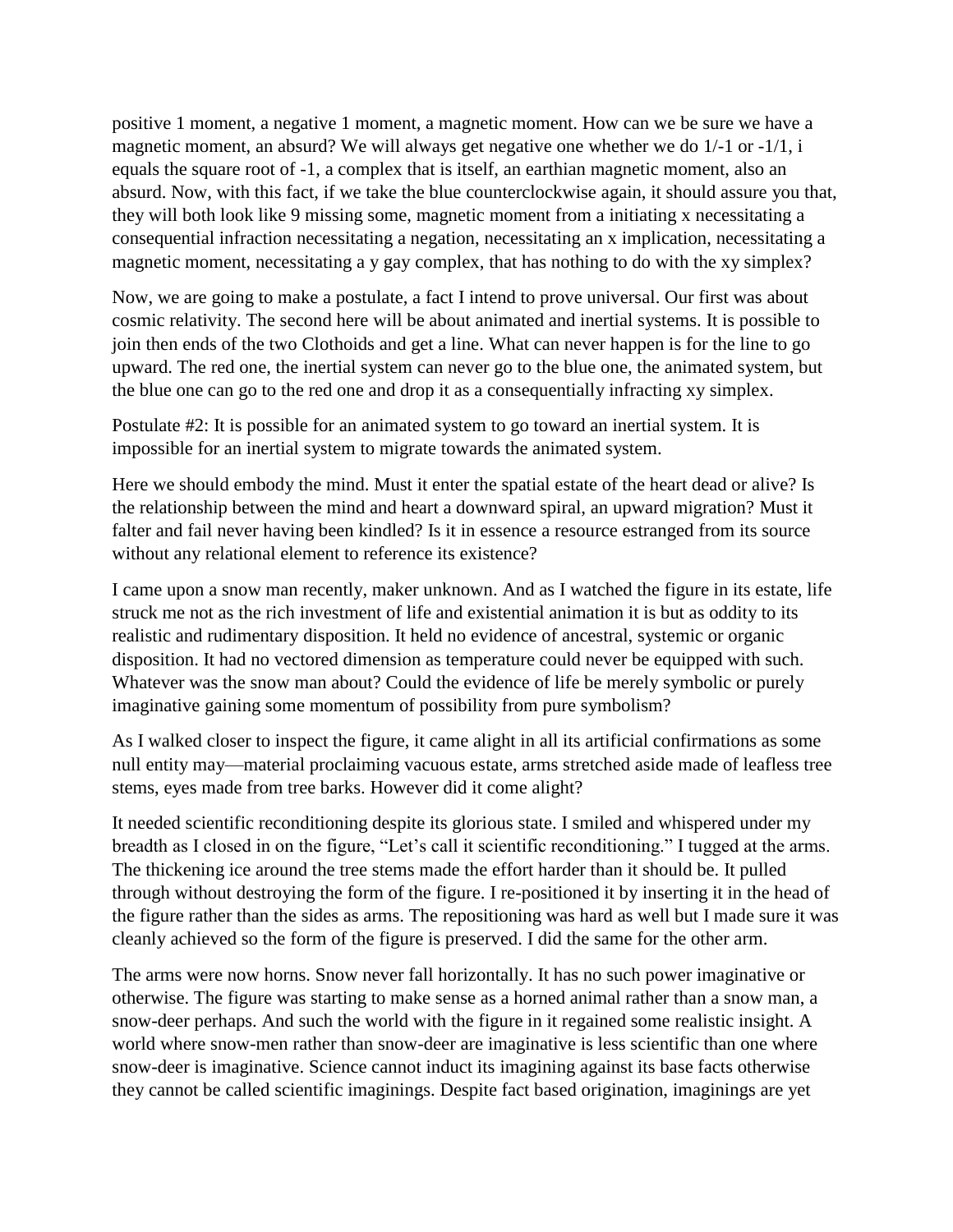positive 1 moment, a negative 1 moment, a magnetic moment. How can we be sure we have a magnetic moment, an absurd? We will always get negative one whether we do 1/-1 or -1/1, i equals the square root of -1, a complex that is itself, an earthian magnetic moment, also an absurd. Now, with this fact, if we take the blue counterclockwise again, it should assure you that, they will both look like 9 missing some, magnetic moment from a initiating x necessitating a consequential infraction necessitating a negation, necessitating an x implication, necessitating a magnetic moment, necessitating a y gay complex, that has nothing to do with the xy simplex?

Now, we are going to make a postulate, a fact I intend to prove universal. Our first was about cosmic relativity. The second here will be about animated and inertial systems. It is possible to join then ends of the two Clothoids and get a line. What can never happen is for the line to go upward. The red one, the inertial system can never go to the blue one, the animated system, but the blue one can go to the red one and drop it as a consequentially infracting xy simplex.

Postulate #2: It is possible for an animated system to go toward an inertial system. It is impossible for an inertial system to migrate towards the animated system.

Here we should embody the mind. Must it enter the spatial estate of the heart dead or alive? Is the relationship between the mind and heart a downward spiral, an upward migration? Must it falter and fail never having been kindled? Is it in essence a resource estranged from its source without any relational element to reference its existence?

I came upon a snow man recently, maker unknown. And as I watched the figure in its estate, life struck me not as the rich investment of life and existential animation it is but as oddity to its realistic and rudimentary disposition. It held no evidence of ancestral, systemic or organic disposition. It had no vectored dimension as temperature could never be equipped with such. Whatever was the snow man about? Could the evidence of life be merely symbolic or purely imaginative gaining some momentum of possibility from pure symbolism?

As I walked closer to inspect the figure, it came alight in all its artificial confirmations as some null entity may—material proclaiming vacuous estate, arms stretched aside made of leafless tree stems, eyes made from tree barks. However did it come alight?

It needed scientific reconditioning despite its glorious state. I smiled and whispered under my breadth as I closed in on the figure, "Let's call it scientific reconditioning." I tugged at the arms. The thickening ice around the tree stems made the effort harder than it should be. It pulled through without destroying the form of the figure. I re-positioned it by inserting it in the head of the figure rather than the sides as arms. The repositioning was hard as well but I made sure it was cleanly achieved so the form of the figure is preserved. I did the same for the other arm.

The arms were now horns. Snow never fall horizontally. It has no such power imaginative or otherwise. The figure was starting to make sense as a horned animal rather than a snow man, a snow-deer perhaps. And such the world with the figure in it regained some realistic insight. A world where snow-men rather than snow-deer are imaginative is less scientific than one where snow-deer is imaginative. Science cannot induct its imagining against its base facts otherwise they cannot be called scientific imaginings. Despite fact based origination, imaginings are yet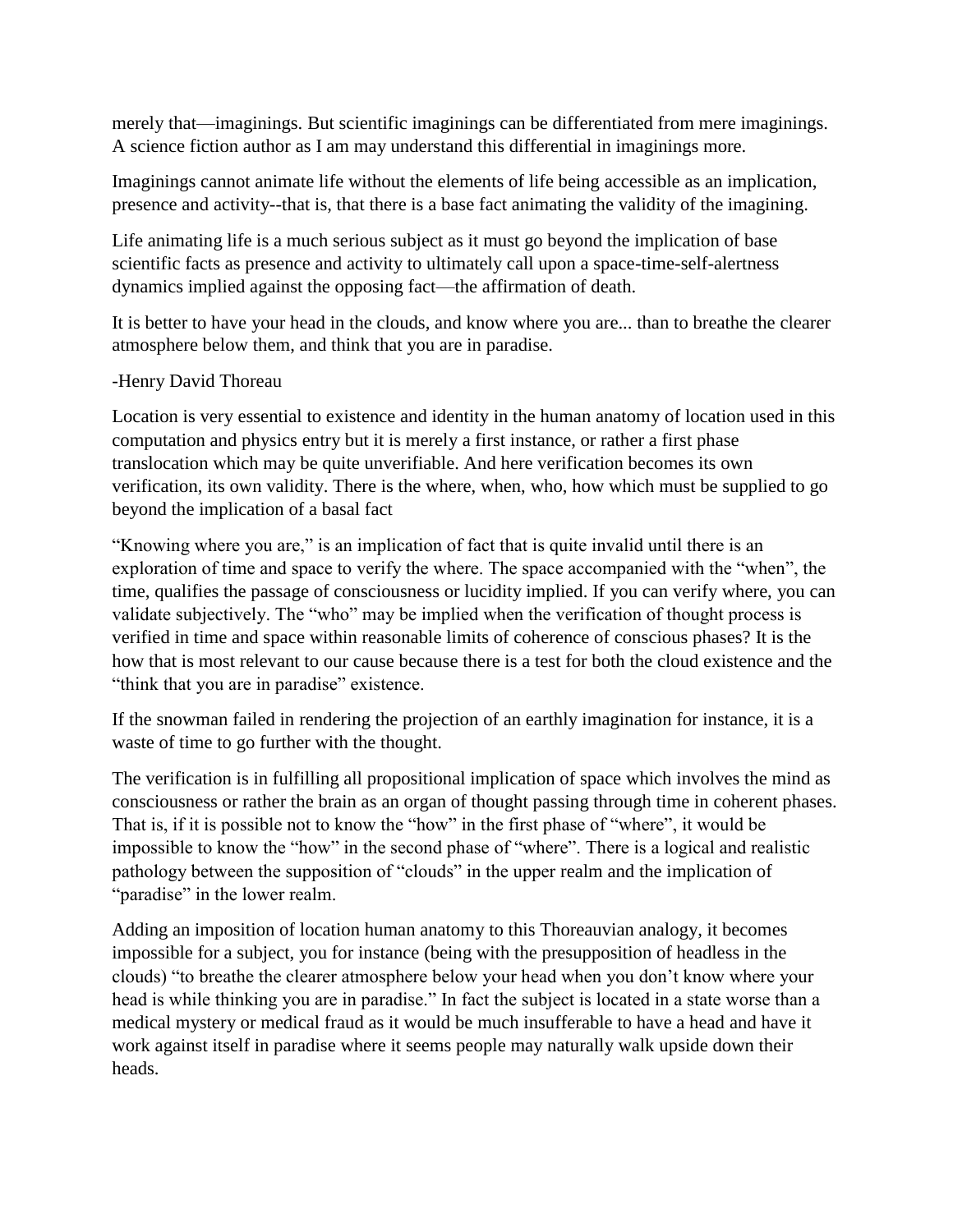merely that—imaginings. But scientific imaginings can be differentiated from mere imaginings. A science fiction author as I am may understand this differential in imaginings more.

Imaginings cannot animate life without the elements of life being accessible as an implication, presence and activity--that is, that there is a base fact animating the validity of the imagining.

Life animating life is a much serious subject as it must go beyond the implication of base scientific facts as presence and activity to ultimately call upon a space-time-self-alertness dynamics implied against the opposing fact—the affirmation of death.

It is better to have your head in the clouds, and know where you are... than to breathe the clearer atmosphere below them, and think that you are in paradise.

## -Henry David Thoreau

Location is very essential to existence and identity in the human anatomy of location used in this computation and physics entry but it is merely a first instance, or rather a first phase translocation which may be quite unverifiable. And here verification becomes its own verification, its own validity. There is the where, when, who, how which must be supplied to go beyond the implication of a basal fact

"Knowing where you are," is an implication of fact that is quite invalid until there is an exploration of time and space to verify the where. The space accompanied with the "when", the time, qualifies the passage of consciousness or lucidity implied. If you can verify where, you can validate subjectively. The "who" may be implied when the verification of thought process is verified in time and space within reasonable limits of coherence of conscious phases? It is the how that is most relevant to our cause because there is a test for both the cloud existence and the "think that you are in paradise" existence.

If the snowman failed in rendering the projection of an earthly imagination for instance, it is a waste of time to go further with the thought.

The verification is in fulfilling all propositional implication of space which involves the mind as consciousness or rather the brain as an organ of thought passing through time in coherent phases. That is, if it is possible not to know the "how" in the first phase of "where", it would be impossible to know the "how" in the second phase of "where". There is a logical and realistic pathology between the supposition of "clouds" in the upper realm and the implication of "paradise" in the lower realm.

Adding an imposition of location human anatomy to this Thoreauvian analogy, it becomes impossible for a subject, you for instance (being with the presupposition of headless in the clouds) "to breathe the clearer atmosphere below your head when you don't know where your head is while thinking you are in paradise." In fact the subject is located in a state worse than a medical mystery or medical fraud as it would be much insufferable to have a head and have it work against itself in paradise where it seems people may naturally walk upside down their heads.